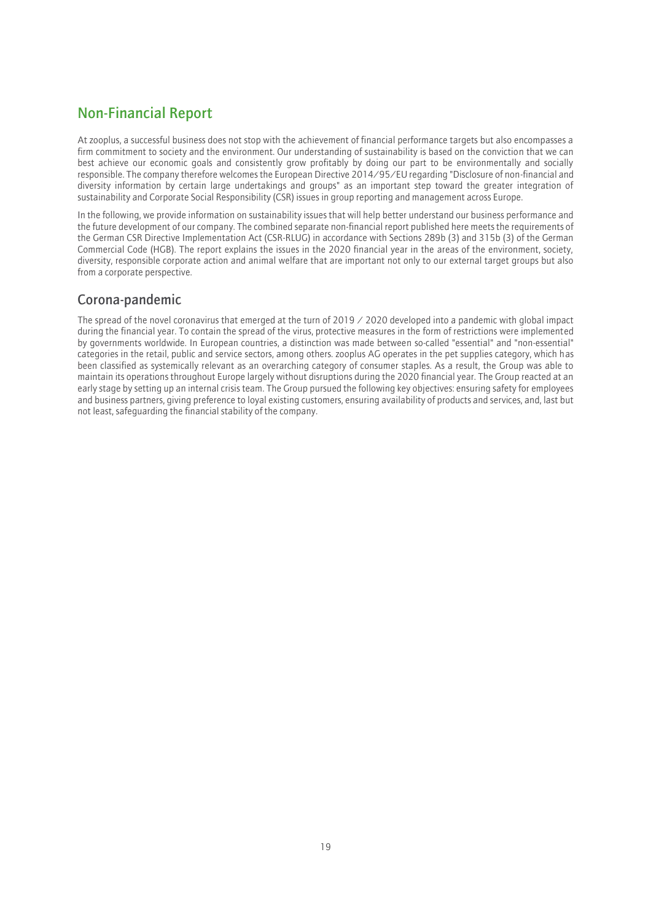# Non-Financial Report

At zooplus, a successful business does not stop with the achievement of financial performance targets but also encompasses a firm commitment to society and the environment. Our understanding of sustainability is based on the conviction that we can best achieve our economic goals and consistently grow profitably by doing our part to be environmentally and socially responsible. The company therefore welcomes the European Directive 2014/95/EU regarding "Disclosure of non-financial and diversity information by certain large undertakings and groups" as an important step toward the greater integration of sustainability and Corporate Social Responsibility (CSR) issues in group reporting and management across Europe.

In the following, we provide information on sustainability issues that will help better understand our business performance and the future development of our company. The combined separate non-financial report published here meets the requirements of the German CSR Directive Implementation Act (CSR-RLUG) in accordance with Sections 289b (3) and 315b (3) of the German Commercial Code (HGB). The report explains the issues in the 2020 financial year in the areas of the environment, society, diversity, responsible corporate action and animal welfare that are important not only to our external target groups but also from a corporate perspective.

## Corona-pandemic

The spread of the novel coronavirus that emerged at the turn of 2019  $\angle$  2020 developed into a pandemic with global impact during the financial year. To contain the spread of the virus, protective measures in the form of restrictions were implemented by governments worldwide. In European countries, a distinction was made between so-called "essential" and "non-essential" categories in the retail, public and service sectors, among others. zooplus AG operates in the pet supplies category, which has been classified as systemically relevant as an overarching category of consumer staples. As a result, the Group was able to maintain its operations throughout Europe largely without disruptions during the 2020 financial year. The Group reacted at an early stage by setting up an internal crisis team. The Group pursued the following key objectives: ensuring safety for employees and business partners, giving preference to loyal existing customers, ensuring availability of products and services, and, last but not least, safeguarding the financial stability of the company.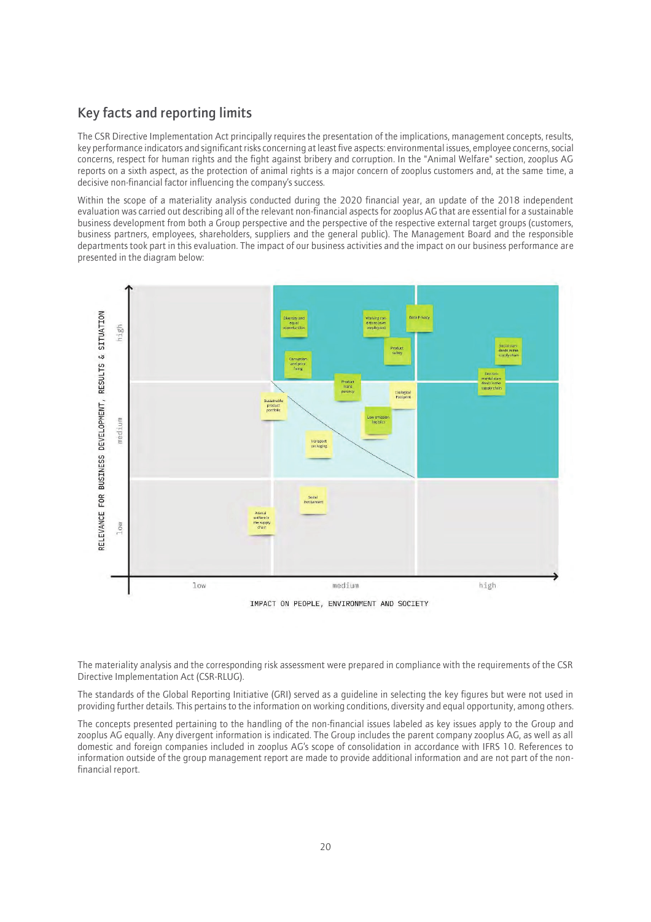## Key facts and reporting limits

The CSR Directive Implementation Act principally requires the presentation of the implications, management concepts, results, key performance indicators and significant risks concerning at least five aspects: environmental issues, employee concerns, social concerns, respect for human rights and the fight against bribery and corruption. In the "Animal Welfare" section, zooplus AG reports on a sixth aspect, as the protection of animal rights is a major concern of zooplus customers and, at the same time, a decisive non-financial factor influencing the company's success.

Within the scope of a materiality analysis conducted during the 2020 financial year, an update of the 2018 independent evaluation was carried out describing all of the relevant non-financial aspects for zooplus AG that are essential for a sustainable business development from both a Group perspective and the perspective of the respective external target groups (customers, business partners, employees, shareholders, suppliers and the general public). The Management Board and the responsible departments took part in this evaluation. The impact of our business activities and the impact on our business performance are presented in the diagram below:



IMPACT ON PEOPLE, ENVIRONMENT AND SOCIETY

The materiality analysis and the corresponding risk assessment were prepared in compliance with the requirements of the CSR Directive Implementation Act (CSR-RLUG).

The standards of the Global Reporting Initiative (GRI) served as a guideline in selecting the key figures but were not used in providing further details. This pertains to the information on working conditions, diversity and equal opportunity, among others.

The concepts presented pertaining to the handling of the non-financial issues labeled as key issues apply to the Group and zooplus AG equally. Any divergent information is indicated. The Group includes the parent company zooplus AG, as well as all domestic and foreign companies included in zooplus AG's scope of consolidation in accordance with IFRS 10. References to information outside of the group management report are made to provide additional information and are not part of the nonfinancial report.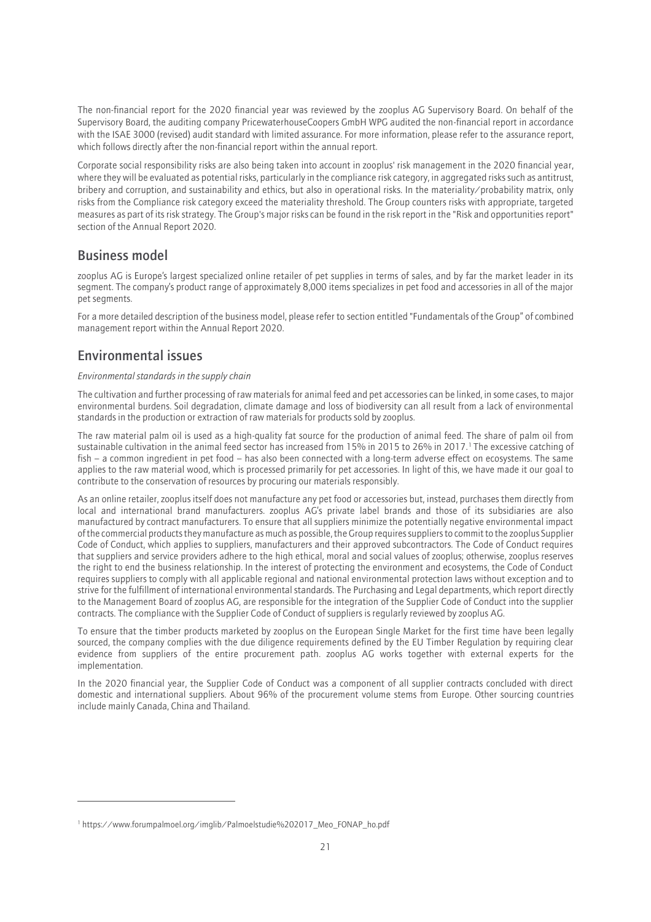The non-financial report for the 2020 financial year was reviewed by the zooplus AG Supervisory Board. On behalf of the Supervisory Board, the auditing company PricewaterhouseCoopers GmbH WPG audited the non-financial report in accordance with the ISAE 3000 (revised) audit standard with limited assurance. For more information, please refer to the assurance report, which follows directly after the non-financial report within the annual report.

Corporate social responsibility risks are also being taken into account in zooplus' risk management in the 2020 financial year, where they will be evaluated as potential risks, particularly in the compliance risk category, in aggregated risks such as antitrust, bribery and corruption, and sustainability and ethics, but also in operational risks. In the materiality/probability matrix, only risks from the Compliance risk category exceed the materiality threshold. The Group counters risks with appropriate, targeted measures as part of its risk strategy. The Group's major risks can be found in the risk report in the "Risk and opportunities report" section of the Annual Report 2020.

### Business model

zooplus AG is Europe's largest specialized online retailer of pet supplies in terms of sales, and by far the market leader in its segment. The company's product range of approximately 8,000 items specializes in pet food and accessories in all of the major pet segments.

For a more detailed description of the business model, please refer to section entitled "Fundamentals of the Group" of combined management report within the Annual Report 2020.

### Environmental issues

### *Environmental standards in the supply chain*

The cultivation and further processing of raw materials for animal feed and pet accessories can be linked, in some cases, to major environmental burdens. Soil degradation, climate damage and loss of biodiversity can all result from a lack of environmental standards in the production or extraction of raw materials for products sold by zooplus.

The raw material palm oil is used as a high-quality fat source for the production of animal feed. The share of palm oil from sustainable cultivation in the animal feed sector has increased from 15% in 2015 to 26% in 2017.<sup>1</sup>The excessive catching of fish – a common ingredient in pet food – has also been connected with a long-term adverse effect on ecosystems. The same applies to the raw material wood, which is processed primarily for pet accessories. In light of this, we have made it our goal to contribute to the conservation of resources by procuring our materials responsibly.

As an online retailer, zooplus itself does not manufacture any pet food or accessories but, instead, purchases them directly from local and international brand manufacturers. zooplus AG's private label brands and those of its subsidiaries are also manufactured by contract manufacturers. To ensure that all suppliers minimize the potentially negative environmental impact of the commercial products they manufacture as much as possible, the Group requires suppliers to commit to the zooplus Supplier Code of Conduct, which applies to suppliers, manufacturers and their approved subcontractors. The Code of Conduct requires that suppliers and service providers adhere to the high ethical, moral and social values of zooplus; otherwise, zooplus reserves the right to end the business relationship. In the interest of protecting the environment and ecosystems, the Code of Conduct requires suppliers to comply with all applicable regional and national environmental protection laws without exception and to strive for the fulfillment of international environmental standards. The Purchasing and Legal departments, which report directly to the Management Board of zooplus AG, are responsible for the integration of the Supplier Code of Conduct into the supplier contracts. The compliance with the Supplier Code of Conduct of suppliers is regularly reviewed by zooplus AG.

To ensure that the timber products marketed by zooplus on the European Single Market for the first time have been legally sourced, the company complies with the due diligence requirements defined by the EU Timber Regulation by requiring clear evidence from suppliers of the entire procurement path. zooplus AG works together with external experts for the implementation.

In the 2020 financial year, the Supplier Code of Conduct was a component of all supplier contracts concluded with direct domestic and international suppliers. About 96% of the procurement volume stems from Europe. Other sourcing countries include mainly Canada, China and Thailand.

<sup>1</sup> https://www.forumpalmoel.org/imglib/Palmoelstudie%202017\_Meo\_FONAP\_ho.pdf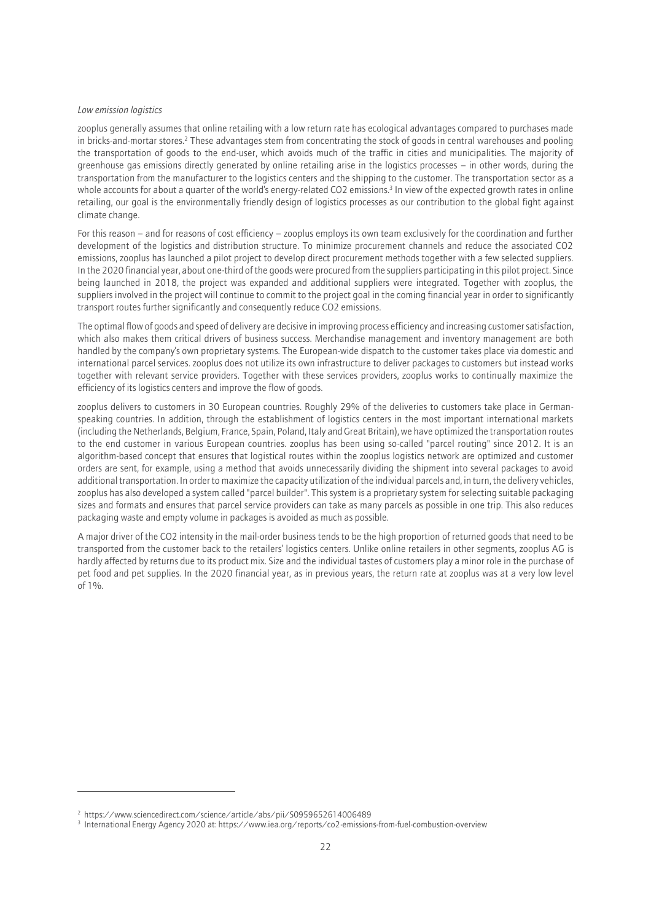#### *Low emission logistics*

zooplus generally assumes that online retailing with a low return rate has ecological advantages compared to purchases made in bricks-and-mortar stores.<sup>2</sup> These advantages stem from concentrating the stock of goods in central warehouses and pooling the transportation of goods to the end-user, which avoids much of the traffic in cities and municipalities. The majority of greenhouse gas emissions directly generated by online retailing arise in the logistics processes – in other words, during the transportation from the manufacturer to the logistics centers and the shipping to the customer. The transportation sector as a whole accounts for about a quarter of the world's energy-related CO2 emissions.<sup>3</sup> In view of the expected growth rates in online retailing, our goal is the environmentally friendly design of logistics processes as our contribution to the global fight against climate change.

For this reason – and for reasons of cost efficiency – zooplus employs its own team exclusively for the coordination and further development of the logistics and distribution structure. To minimize procurement channels and reduce the associated CO2 emissions, zooplus has launched a pilot project to develop direct procurement methods together with a few selected suppliers. In the 2020 financial year, about one-third of the goods were procured from the suppliers participating in this pilot project. Since being launched in 2018, the project was expanded and additional suppliers were integrated. Together with zooplus, the suppliers involved in the project will continue to commit to the project goal in the coming financial year in order to significantly transport routes further significantly and consequently reduce CO2 emissions.

The optimal flow of goods and speed of delivery are decisive in improving process efficiency and increasing customer satisfaction, which also makes them critical drivers of business success. Merchandise management and inventory management are both handled by the company's own proprietary systems. The European-wide dispatch to the customer takes place via domestic and international parcel services. zooplus does not utilize its own infrastructure to deliver packages to customers but instead works together with relevant service providers. Together with these services providers, zooplus works to continually maximize the efficiency of its logistics centers and improve the flow of goods.

zooplus delivers to customers in 30 European countries. Roughly 29% of the deliveries to customers take place in Germanspeaking countries. In addition, through the establishment of logistics centers in the most important international markets (including the Netherlands, Belgium, France, Spain, Poland, Italy and Great Britain), we have optimized the transportation routes to the end customer in various European countries. zooplus has been using so-called "parcel routing" since 2012. It is an algorithm-based concept that ensures that logistical routes within the zooplus logistics network are optimized and customer orders are sent, for example, using a method that avoids unnecessarily dividing the shipment into several packages to avoid additional transportation. In order to maximize the capacity utilization of the individual parcels and, in turn, the delivery vehicles, zooplus has also developed a system called "parcel builder". This system is a proprietary system for selecting suitable packaging sizes and formats and ensures that parcel service providers can take as many parcels as possible in one trip. This also reduces packaging waste and empty volume in packages is avoided as much as possible.

A major driver of the CO2 intensity in the mail-order business tends to be the high proportion of returned goods that need to be transported from the customer back to the retailers' logistics centers. Unlike online retailers in other segments, zooplus AG is hardly affected by returns due to its product mix. Size and the individual tastes of customers play a minor role in the purchase of pet food and pet supplies. In the 2020 financial year, as in previous years, the return rate at zooplus was at a very low level of 1%.

<sup>&</sup>lt;sup>2</sup> https://www.sciencedirect.com/science/article/abs/pii/S0959652614006489

<sup>3</sup> International Energy Agency 2020 at: https://www.iea.org/reports/co2-emissions-from-fuel-combustion-overview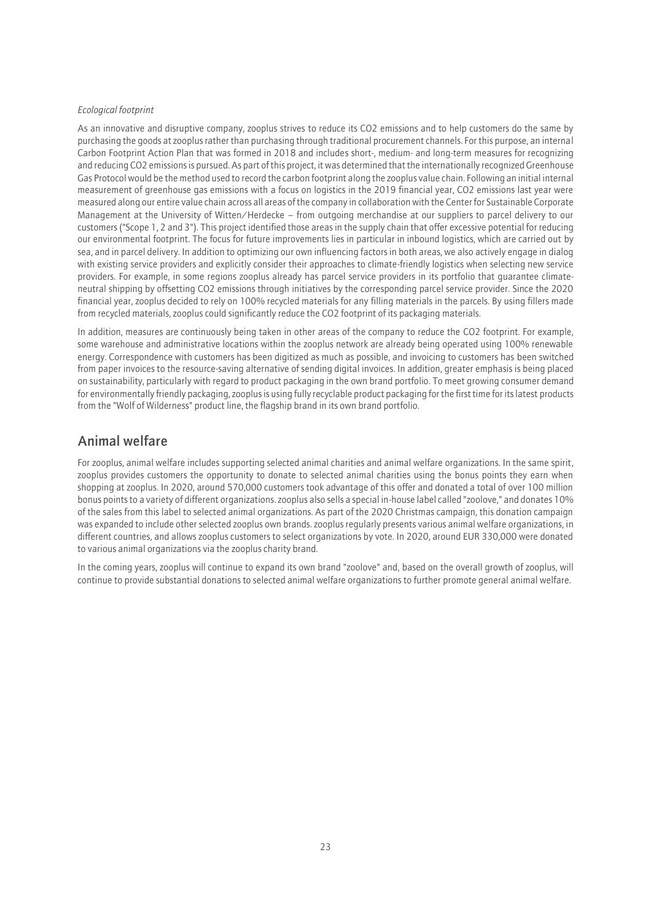#### *Ecological footprint*

As an innovative and disruptive company, zooplus strives to reduce its CO2 emissions and to help customers do the same by purchasing the goods at zooplus rather than purchasing through traditional procurement channels. For this purpose, an internal Carbon Footprint Action Plan that was formed in 2018 and includes short-, medium- and long-term measures for recognizing and reducing CO2 emissions is pursued. As part of this project, it was determined that the internationally recognized Greenhouse Gas Protocol would be the method used to record the carbon footprint along the zooplus value chain. Following an initial internal measurement of greenhouse gas emissions with a focus on logistics in the 2019 financial year, CO2 emissions last year were measured along our entire value chain across all areas of the company in collaboration with the Center for Sustainable Corporate Management at the University of Witten/Herdecke – from outgoing merchandise at our suppliers to parcel delivery to our customers ("Scope 1, 2 and 3"). This project identified those areas in the supply chain that offer excessive potential for reducing our environmental footprint. The focus for future improvements lies in particular in inbound logistics, which are carried out by sea, and in parcel delivery. In addition to optimizing our own influencing factors in both areas, we also actively engage in dialog with existing service providers and explicitly consider their approaches to climate-friendly logistics when selecting new service providers. For example, in some regions zooplus already has parcel service providers in its portfolio that guarantee climateneutral shipping by offsetting CO2 emissions through initiatives by the corresponding parcel service provider. Since the 2020 financial year, zooplus decided to rely on 100% recycled materials for any filling materials in the parcels. By using fillers made from recycled materials, zooplus could significantly reduce the CO2 footprint of its packaging materials.

In addition, measures are continuously being taken in other areas of the company to reduce the CO2 footprint. For example, some warehouse and administrative locations within the zooplus network are already being operated using 100% renewable energy. Correspondence with customers has been digitized as much as possible, and invoicing to customers has been switched from paper invoices to the resource-saving alternative of sending digital invoices. In addition, greater emphasis is being placed on sustainability, particularly with regard to product packaging in the own brand portfolio. To meet growing consumer demand for environmentally friendly packaging, zooplus is using fully recyclable product packaging for the first time for its latest products from the "Wolf of Wilderness" product line, the flagship brand in its own brand portfolio.

### Animal welfare

For zooplus, animal welfare includes supporting selected animal charities and animal welfare organizations. In the same spirit, zooplus provides customers the opportunity to donate to selected animal charities using the bonus points they earn when shopping at zooplus. In 2020, around 570,000 customers took advantage of this offer and donated a total of over 100 million bonus points to a variety of different organizations. zooplus also sells a special in-house label called "zoolove," and donates 10% of the sales from this label to selected animal organizations. As part of the 2020 Christmas campaign, this donation campaign was expanded to include other selected zooplus own brands. zooplus regularly presents various animal welfare organizations, in different countries, and allows zooplus customers to select organizations by vote. In 2020, around EUR 330,000 were donated to various animal organizations via the zooplus charity brand.

In the coming years, zooplus will continue to expand its own brand "zoolove" and, based on the overall growth of zooplus, will continue to provide substantial donations to selected animal welfare organizations to further promote general animal welfare.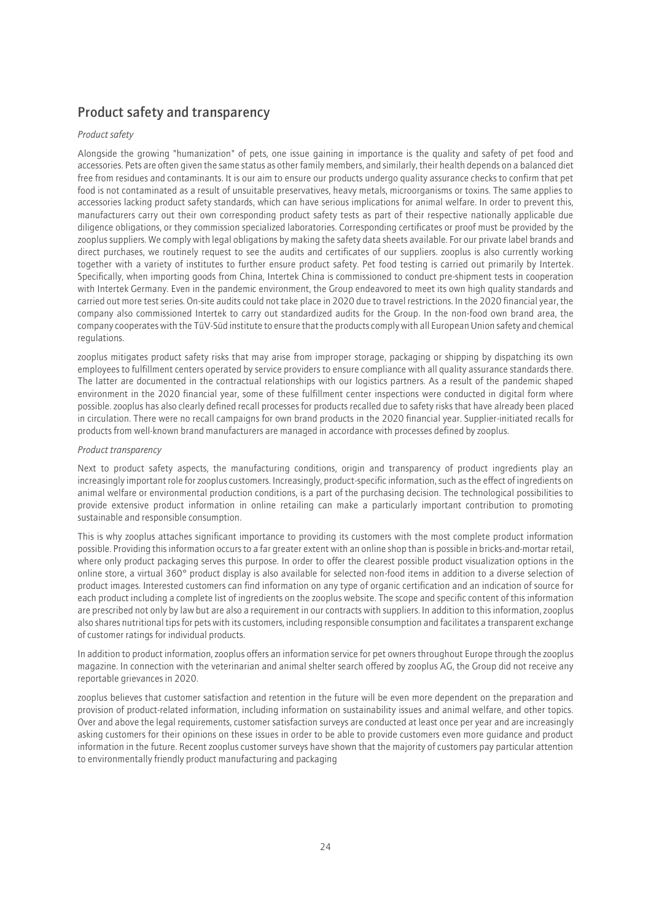### Product safety and transparency

### *Product safety*

Alongside the growing "humanization" of pets, one issue gaining in importance is the quality and safety of pet food and accessories. Pets are often given the same status as other family members, and similarly, their health depends on a balanced diet free from residues and contaminants. It is our aim to ensure our products undergo quality assurance checks to confirm that pet food is not contaminated as a result of unsuitable preservatives, heavy metals, microorganisms or toxins. The same applies to accessories lacking product safety standards, which can have serious implications for animal welfare. In order to prevent this, manufacturers carry out their own corresponding product safety tests as part of their respective nationally applicable due diligence obligations, or they commission specialized laboratories. Corresponding certificates or proof must be provided by the zooplus suppliers. We comply with legal obligations by making the safety data sheets available. For our private label brands and direct purchases, we routinely request to see the audits and certificates of our suppliers. zooplus is also currently working together with a variety of institutes to further ensure product safety. Pet food testing is carried out primarily by Intertek. Specifically, when importing goods from China, Intertek China is commissioned to conduct pre-shipment tests in cooperation with Intertek Germany. Even in the pandemic environment, the Group endeavored to meet its own high quality standards and carried out more test series. On-site audits could not take place in 2020 due to travel restrictions. In the 2020 financial year, the company also commissioned Intertek to carry out standardized audits for the Group. In the non-food own brand area, the company cooperates with the TüV-Süd institute to ensure that the products comply with all European Union safety and chemical regulations.

zooplus mitigates product safety risks that may arise from improper storage, packaging or shipping by dispatching its own employees to fulfillment centers operated by service providers to ensure compliance with all quality assurance standards there. The latter are documented in the contractual relationships with our logistics partners. As a result of the pandemic shaped environment in the 2020 financial year, some of these fulfillment center inspections were conducted in digital form where possible. zooplus has also clearly defined recall processes for products recalled due to safety risks that have already been placed in circulation. There were no recall campaigns for own brand products in the 2020 financial year. Supplier-initiated recalls for products from well-known brand manufacturers are managed in accordance with processes defined by zooplus.

### *Product transparency*

Next to product safety aspects, the manufacturing conditions, origin and transparency of product ingredients play an increasingly important role for zooplus customers. Increasingly, product-specific information, such as the effect of ingredients on animal welfare or environmental production conditions, is a part of the purchasing decision. The technological possibilities to provide extensive product information in online retailing can make a particularly important contribution to promoting sustainable and responsible consumption.

This is why zooplus attaches significant importance to providing its customers with the most complete product information possible. Providing this information occurs to a far greater extent with an online shop than is possible in bricks-and-mortar retail, where only product packaging serves this purpose. In order to offer the clearest possible product visualization options in the online store, a virtual 360° product display is also available for selected non-food items in addition to a diverse selection of product images. Interested customers can find information on any type of organic certification and an indication of source for each product including a complete list of ingredients on the zooplus website. The scope and specific content of this information are prescribed not only by law but are also a requirement in our contracts with suppliers. In addition to this information, zooplus also shares nutritional tips for pets with its customers, including responsible consumption and facilitates a transparent exchange of customer ratings for individual products.

In addition to product information, zooplus offers an information service for pet owners throughout Europe through the zooplus magazine. In connection with the veterinarian and animal shelter search offered by zooplus AG, the Group did not receive any reportable grievances in 2020.

zooplus believes that customer satisfaction and retention in the future will be even more dependent on the preparation and provision of product-related information, including information on sustainability issues and animal welfare, and other topics. Over and above the legal requirements, customer satisfaction surveys are conducted at least once per year and are increasingly asking customers for their opinions on these issues in order to be able to provide customers even more guidance and product information in the future. Recent zooplus customer surveys have shown that the majority of customers pay particular attention to environmentally friendly product manufacturing and packaging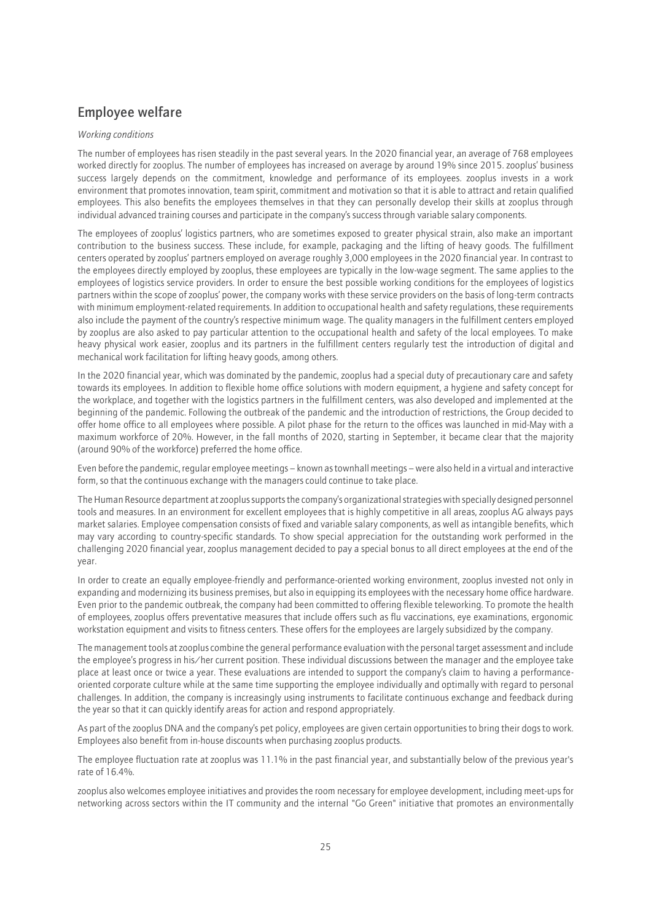## Employee welfare

### *Working conditions*

The number of employees has risen steadily in the past several years. In the 2020 financial year, an average of 768 employees worked directly for zooplus. The number of employees has increased on average by around 19% since 2015. zooplus' business success largely depends on the commitment, knowledge and performance of its employees. zooplus invests in a work environment that promotes innovation, team spirit, commitment and motivation so that it is able to attract and retain qualified employees. This also benefits the employees themselves in that they can personally develop their skills at zooplus through individual advanced training courses and participate in the company's success through variable salary components.

The employees of zooplus' logistics partners, who are sometimes exposed to greater physical strain, also make an important contribution to the business success. These include, for example, packaging and the lifting of heavy goods. The fulfillment centers operated by zooplus' partners employed on average roughly 3,000 employees in the 2020 financial year. In contrast to the employees directly employed by zooplus, these employees are typically in the low-wage segment. The same applies to the employees of logistics service providers. In order to ensure the best possible working conditions for the employees of logistics partners within the scope of zooplus' power, the company works with these service providers on the basis of long-term contracts with minimum employment-related requirements. In addition to occupational health and safety regulations, these requirements also include the payment of the country's respective minimum wage. The quality managers in the fulfillment centers employed by zooplus are also asked to pay particular attention to the occupational health and safety of the local employees. To make heavy physical work easier, zooplus and its partners in the fulfillment centers regularly test the introduction of digital and mechanical work facilitation for lifting heavy goods, among others.

In the 2020 financial year, which was dominated by the pandemic, zooplus had a special duty of precautionary care and safety towards its employees. In addition to flexible home office solutions with modern equipment, a hygiene and safety concept for the workplace, and together with the logistics partners in the fulfillment centers, was also developed and implemented at the beginning of the pandemic. Following the outbreak of the pandemic and the introduction of restrictions, the Group decided to offer home office to all employees where possible. A pilot phase for the return to the offices was launched in mid-May with a maximum workforce of 20%. However, in the fall months of 2020, starting in September, it became clear that the majority (around 90% of the workforce) preferred the home office.

Even before the pandemic, regular employee meetings – known as townhall meetings – were also held in a virtual and interactive form, so that the continuous exchange with the managers could continue to take place.

The Human Resource department at zooplus supports the company's organizational strategies with specially designed personnel tools and measures. In an environment for excellent employees that is highly competitive in all areas, zooplus AG always pays market salaries. Employee compensation consists of fixed and variable salary components, as well as intangible benefits, which may vary according to country-specific standards. To show special appreciation for the outstanding work performed in the challenging 2020 financial year, zooplus management decided to pay a special bonus to all direct employees at the end of the year.

In order to create an equally employee-friendly and performance-oriented working environment, zooplus invested not only in expanding and modernizing its business premises, but also in equipping its employees with the necessary home office hardware. Even prior to the pandemic outbreak, the company had been committed to offering flexible teleworking. To promote the health of employees, zooplus offers preventative measures that include offers such as flu vaccinations, eye examinations, ergonomic workstation equipment and visits to fitness centers. These offers for the employees are largely subsidized by the company.

The management tools at zooplus combine the general performance evaluation with the personal target assessment and include the employee's progress in his/her current position. These individual discussions between the manager and the employee take place at least once or twice a year. These evaluations are intended to support the company's claim to having a performanceoriented corporate culture while at the same time supporting the employee individually and optimally with regard to personal challenges. In addition, the company is increasingly using instruments to facilitate continuous exchange and feedback during the year so that it can quickly identify areas for action and respond appropriately.

As part of the zooplus DNA and the company's pet policy, employees are given certain opportunities to bring their dogs to work. Employees also benefit from in-house discounts when purchasing zooplus products.

The employee fluctuation rate at zooplus was 11.1% in the past financial year, and substantially below of the previous year's rate of 16.4%.

zooplus also welcomes employee initiatives and provides the room necessary for employee development, including meet-ups for networking across sectors within the IT community and the internal "Go Green" initiative that promotes an environmentally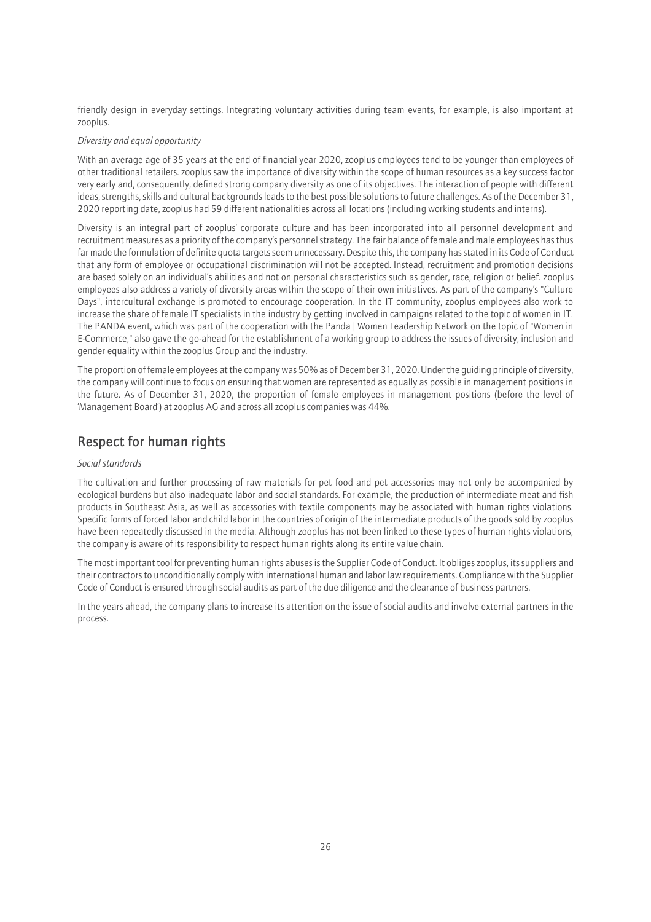friendly design in everyday settings. Integrating voluntary activities during team events, for example, is also important at zooplus.

### *Diversity and equal opportunity*

With an average age of 35 years at the end of financial year 2020, zooplus employees tend to be younger than employees of other traditional retailers. zooplus saw the importance of diversity within the scope of human resources as a key success factor very early and, consequently, defined strong company diversity as one of its objectives. The interaction of people with different ideas, strengths, skills and cultural backgrounds leads to the best possible solutions to future challenges. As of the December 31, 2020 reporting date, zooplus had 59 different nationalities across all locations (including working students and interns).

Diversity is an integral part of zooplus' corporate culture and has been incorporated into all personnel development and recruitment measures as a priority of the company's personnel strategy. The fair balance of female and male employees has thus far made the formulation of definite quota targets seem unnecessary. Despite this, the company has stated in its Code of Conduct that any form of employee or occupational discrimination will not be accepted. Instead, recruitment and promotion decisions are based solely on an individual's abilities and not on personal characteristics such as gender, race, religion or belief. zooplus employees also address a variety of diversity areas within the scope of their own initiatives. As part of the company's "Culture Days", intercultural exchange is promoted to encourage cooperation. In the IT community, zooplus employees also work to increase the share of female IT specialists in the industry by getting involved in campaigns related to the topic of women in IT. The PANDA event, which was part of the cooperation with the Panda | Women Leadership Network on the topic of "Women in E-Commerce," also gave the go-ahead for the establishment of a working group to address the issues of diversity, inclusion and gender equality within the zooplus Group and the industry.

The proportion of female employees at the company was 50% as of December 31, 2020. Under the guiding principle of diversity, the company will continue to focus on ensuring that women are represented as equally as possible in management positions in the future. As of December 31, 2020, the proportion of female employees in management positions (before the level of 'Management Board') at zooplus AG and across all zooplus companies was 44%.

### Respect for human rights

### *Social standards*

The cultivation and further processing of raw materials for pet food and pet accessories may not only be accompanied by ecological burdens but also inadequate labor and social standards. For example, the production of intermediate meat and fish products in Southeast Asia, as well as accessories with textile components may be associated with human rights violations. Specific forms of forced labor and child labor in the countries of origin of the intermediate products of the goods sold by zooplus have been repeatedly discussed in the media. Although zooplus has not been linked to these types of human rights violations, the company is aware of its responsibility to respect human rights along its entire value chain.

The most important tool for preventing human rights abuses is the Supplier Code of Conduct. It obliges zooplus, its suppliers and their contractors to unconditionally comply with international human and labor law requirements. Compliance with the Supplier Code of Conduct is ensured through social audits as part of the due diligence and the clearance of business partners.

In the years ahead, the company plans to increase its attention on the issue of social audits and involve external partners in the process.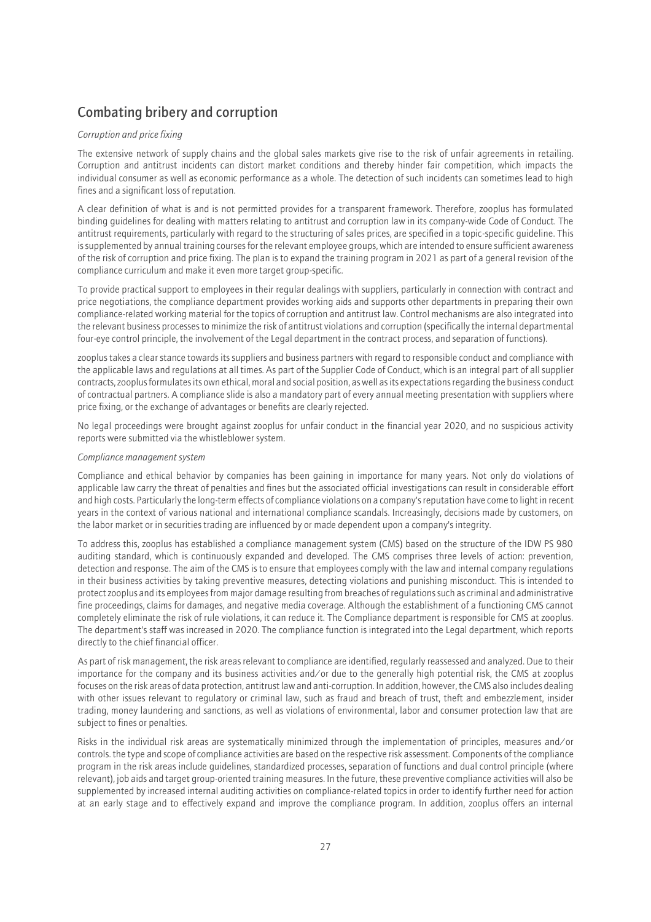## Combating bribery and corruption

### *Corruption and price fixing*

The extensive network of supply chains and the global sales markets give rise to the risk of unfair agreements in retailing. Corruption and antitrust incidents can distort market conditions and thereby hinder fair competition, which impacts the individual consumer as well as economic performance as a whole. The detection of such incidents can sometimes lead to high fines and a significant loss of reputation.

A clear definition of what is and is not permitted provides for a transparent framework. Therefore, zooplus has formulated binding guidelines for dealing with matters relating to antitrust and corruption law in its company-wide Code of Conduct. The antitrust requirements, particularly with regard to the structuring of sales prices, are specified in a topic-specific guideline. This is supplemented by annual training courses for the relevant employee groups, which are intended to ensure sufficient awareness of the risk of corruption and price fixing. The plan is to expand the training program in 2021 as part of a general revision of the compliance curriculum and make it even more target group-specific.

To provide practical support to employees in their regular dealings with suppliers, particularly in connection with contract and price negotiations, the compliance department provides working aids and supports other departments in preparing their own compliance-related working material for the topics of corruption and antitrust law. Control mechanisms are also integrated into the relevant business processes to minimize the risk of antitrust violations and corruption (specifically the internal departmental four-eye control principle, the involvement of the Legal department in the contract process, and separation of functions).

zooplus takes a clear stance towards its suppliers and business partners with regard to responsible conduct and compliance with the applicable laws and regulations at all times. As part of the Supplier Code of Conduct, which is an integral part of all supplier contracts, zooplus formulates its own ethical, moral and social position, as well as its expectations regarding the business conduct of contractual partners. A compliance slide is also a mandatory part of every annual meeting presentation with suppliers where price fixing, or the exchange of advantages or benefits are clearly rejected.

No legal proceedings were brought against zooplus for unfair conduct in the financial year 2020, and no suspicious activity reports were submitted via the whistleblower system.

### *Compliance management system*

Compliance and ethical behavior by companies has been gaining in importance for many years. Not only do violations of applicable law carry the threat of penalties and fines but the associated official investigations can result in considerable effort and high costs. Particularly the long-term effects of compliance violations on a company's reputation have come to light in recent years in the context of various national and international compliance scandals. Increasingly, decisions made by customers, on the labor market or in securities trading are influenced by or made dependent upon a company's integrity.

To address this, zooplus has established a compliance management system (CMS) based on the structure of the IDW PS 980 auditing standard, which is continuously expanded and developed. The CMS comprises three levels of action: prevention, detection and response. The aim of the CMS is to ensure that employees comply with the law and internal company regulations in their business activities by taking preventive measures, detecting violations and punishing misconduct. This is intended to protect zooplus and its employees from major damage resulting from breaches of regulations such as criminal and administrative fine proceedings, claims for damages, and negative media coverage. Although the establishment of a functioning CMS cannot completely eliminate the risk of rule violations, it can reduce it. The Compliance department is responsible for CMS at zooplus. The department's staff was increased in 2020. The compliance function is integrated into the Legal department, which reports directly to the chief financial officer.

As part of risk management, the risk areas relevant to compliance are identified, regularly reassessed and analyzed. Due to their importance for the company and its business activities and/or due to the generally high potential risk, the CMS at zooplus focuses on the risk areas of data protection, antitrust law and anti-corruption. In addition, however, the CMS also includes dealing with other issues relevant to regulatory or criminal law, such as fraud and breach of trust, theft and embezzlement, insider trading, money laundering and sanctions, as well as violations of environmental, labor and consumer protection law that are subject to fines or penalties.

Risks in the individual risk areas are systematically minimized through the implementation of principles, measures and/or controls. the type and scope of compliance activities are based on the respective risk assessment. Components of the compliance program in the risk areas include guidelines, standardized processes, separation of functions and dual control principle (where relevant), job aids and target group-oriented training measures. In the future, these preventive compliance activities will also be supplemented by increased internal auditing activities on compliance-related topics in order to identify further need for action at an early stage and to effectively expand and improve the compliance program. In addition, zooplus offers an internal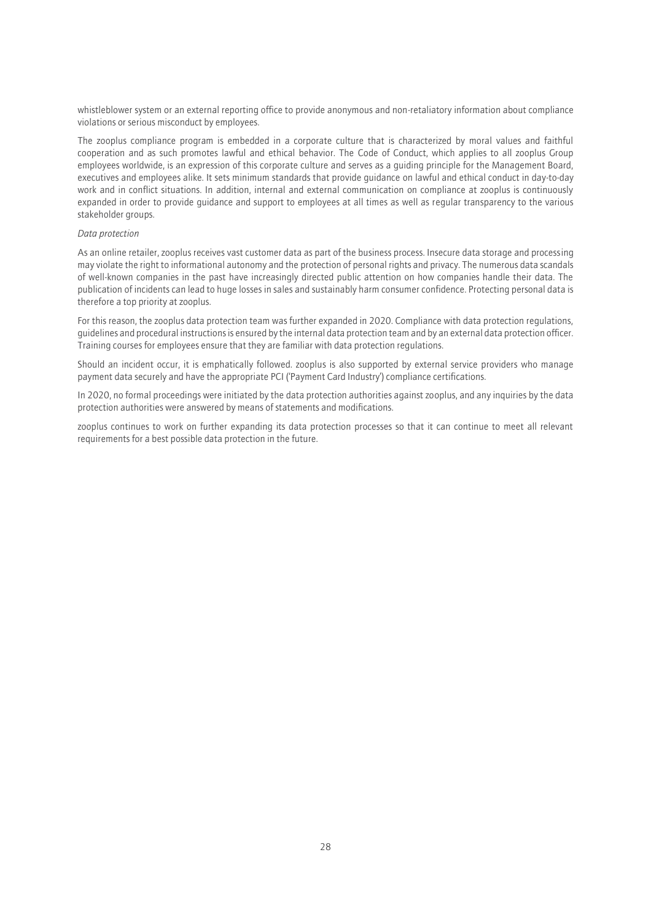whistleblower system or an external reporting office to provide anonymous and non-retaliatory information about compliance violations or serious misconduct by employees.

The zooplus compliance program is embedded in a corporate culture that is characterized by moral values and faithful cooperation and as such promotes lawful and ethical behavior. The Code of Conduct, which applies to all zooplus Group employees worldwide, is an expression of this corporate culture and serves as a guiding principle for the Management Board, executives and employees alike. It sets minimum standards that provide guidance on lawful and ethical conduct in day-to-day work and in conflict situations. In addition, internal and external communication on compliance at zooplus is continuously expanded in order to provide guidance and support to employees at all times as well as regular transparency to the various stakeholder groups.

### *Data protection*

As an online retailer, zooplus receives vast customer data as part of the business process. Insecure data storage and processing may violate the right to informational autonomy and the protection of personal rights and privacy. The numerous data scandals of well-known companies in the past have increasingly directed public attention on how companies handle their data. The publication of incidents can lead to huge losses in sales and sustainably harm consumer confidence. Protecting personal data is therefore a top priority at zooplus.

For this reason, the zooplus data protection team was further expanded in 2020. Compliance with data protection regulations, guidelines and procedural instructions is ensured by the internal data protection team and by an external data protection officer. Training courses for employees ensure that they are familiar with data protection regulations.

Should an incident occur, it is emphatically followed. zooplus is also supported by external service providers who manage payment data securely and have the appropriate PCI ('Payment Card Industry') compliance certifications.

In 2020, no formal proceedings were initiated by the data protection authorities against zooplus, and any inquiries by the data protection authorities were answered by means of statements and modifications.

zooplus continues to work on further expanding its data protection processes so that it can continue to meet all relevant requirements for a best possible data protection in the future.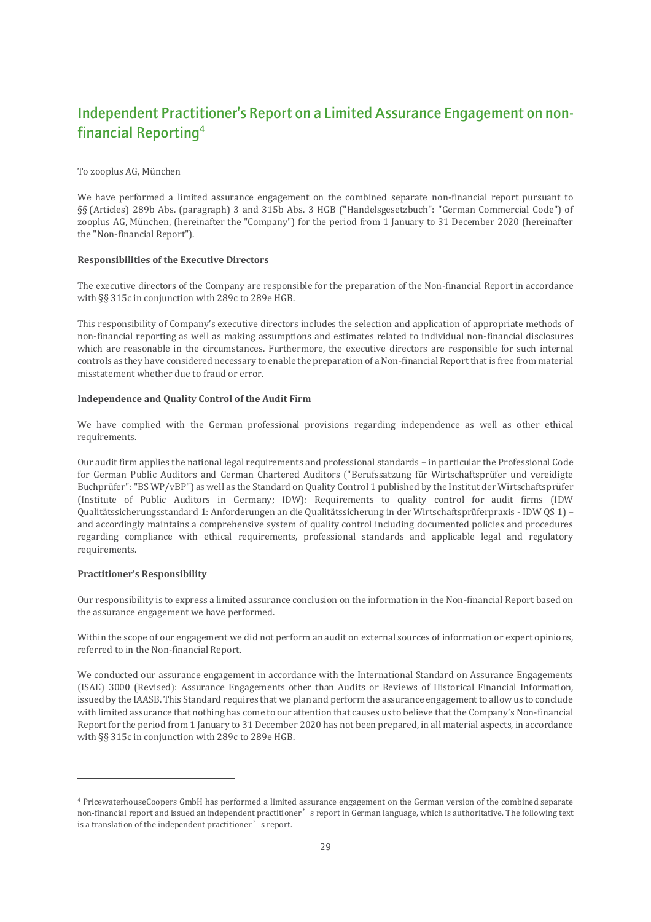# Independent Practitioner's Report on a Limited Assurance Engagement on nonfinancial Reporting<sup>4</sup>

### To zooplus AG, München

We have performed a limited assurance engagement on the combined separate non-financial report pursuant to §§ (Articles) 289b Abs. (paragraph) 3 and 315b Abs. 3 HGB ("Handelsgesetzbuch": "German Commercial Code") of zooplus AG, München, (hereinafter the "Company") for the period from 1 January to 31 December 2020 (hereinafter the "Non-financial Report").

### **Responsibilities of the Executive Directors**

The executive directors of the Company are responsible for the preparation of the Non-financial Report in accordance with §§ 315c in conjunction with 289c to 289e HGB.

This responsibility of Company's executive directors includes the selection and application of appropriate methods of non-financial reporting as well as making assumptions and estimates related to individual non-financial disclosures which are reasonable in the circumstances. Furthermore, the executive directors are responsible for such internal controls as they have considered necessary to enable the preparation of a Non-financial Report that is free from material misstatement whether due to fraud or error.

### **Independence and Quality Control of the Audit Firm**

We have complied with the German professional provisions regarding independence as well as other ethical requirements.

Our audit firm applies the national legal requirements and professional standards – in particular the Professional Code for German Public Auditors and German Chartered Auditors ("Berufssatzung für Wirtschaftsprüfer und vereidigte Buchprüfer": "BS WP/vBP") as well as the Standard on Quality Control 1 published by the Institut der Wirtschaftsprüfer (Institute of Public Auditors in Germany; IDW): Requirements to quality control for audit firms (IDW Qualitätssicherungsstandard 1: Anforderungen an die Qualitätssicherung in der Wirtschaftsprüferpraxis - IDW QS 1) – and accordingly maintains a comprehensive system of quality control including documented policies and procedures regarding compliance with ethical requirements, professional standards and applicable legal and regulatory requirements.

### **Practitioner's Responsibility**

Our responsibility is to express a limited assurance conclusion on the information in the Non-financial Report based on the assurance engagement we have performed.

Within the scope of our engagement we did not perform an audit on external sources of information or expert opinions, referred to in the Non-financial Report.

We conducted our assurance engagement in accordance with the International Standard on Assurance Engagements (ISAE) 3000 (Revised): Assurance Engagements other than Audits or Reviews of Historical Financial Information, issued by the IAASB. This Standard requires that we plan and perform the assurance engagement to allow us to conclude with limited assurance that nothing has come to our attention that causes us to believe that the Company's Non-financial Report for the period from 1 January to 31 December 2020 has not been prepared, in all material aspects, in accordance with §§ 315c in conjunction with 289c to 289e HGB.

<sup>4</sup> PricewaterhouseCoopers GmbH has performed a limited assurance engagement on the German version of the combined separate non-financial report and issued an independent practitioner̓s report in German language, which is authoritative. The following text is a translation of the independent practitioner<sup>'</sup> s report.